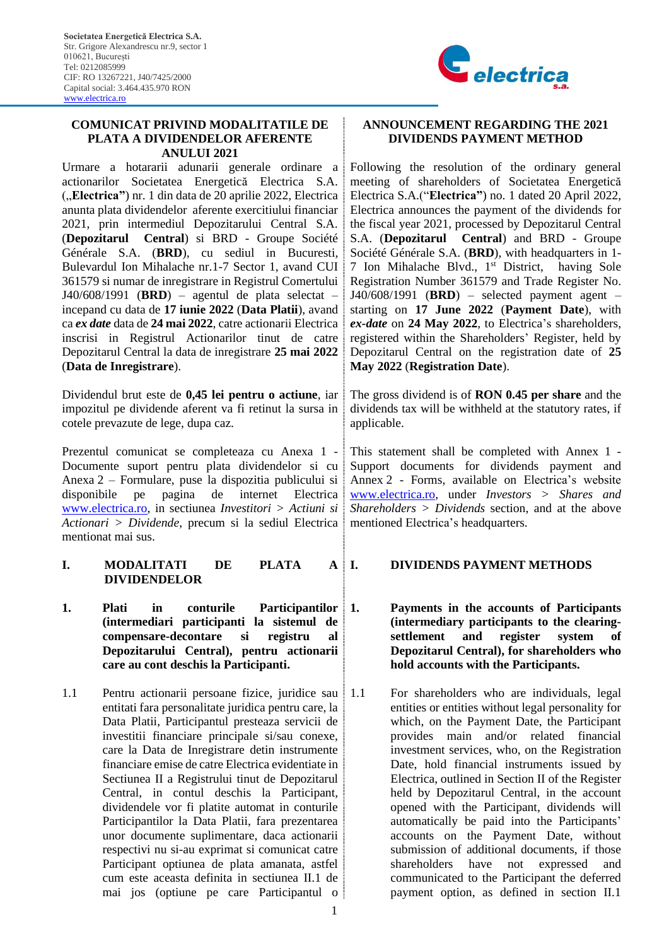

#### **COMUNICAT PRIVIND MODALITATILE DE PLATA A DIVIDENDELOR AFERENTE ANULUI 2021**

Urmare a hotararii adunarii generale ordinare a actionarilor Societatea Energetică Electrica S.A. ("**Electrica"**) nr. 1 din data de 20 aprilie 2022, Electrica anunta plata dividendelor aferente exercitiului financiar 2021, prin intermediul Depozitarului Central S.A. (**Depozitarul Central**) si BRD - Groupe Société Générale S.A. (**BRD**), cu sediul in Bucuresti, Bulevardul Ion Mihalache nr.1-7 Sector 1, avand CUI 361579 si numar de inregistrare in Registrul Comertului J40/608/1991 (**BRD**) – agentul de plata selectat – incepand cu data de **17 iunie 2022** (**Data Platii**), avand ca *ex date* data de **24 mai 2022**, catre actionarii Electrica inscrisi in Registrul Actionarilor tinut de catre Depozitarul Central la data de inregistrare **25 mai 2022** (**Data de Inregistrare**).

Dividendul brut este de **0,45 lei pentru o actiune**, iar impozitul pe dividende aferent va fi retinut la sursa in cotele prevazute de lege, dupa caz.

Prezentul comunicat se completeaza cu Anexa 1 - Documente suport pentru plata dividendelor si cu Anexa 2 – Formulare, puse la dispozitia publicului si disponibile pe pagina de internet Electrica [www.electrica.ro,](http://www.electrica.ro/) in sectiunea *Investitori > Actiuni si Actionari > Dividende*, precum si la sediul Electrica mentionat mai sus.

- **I. MODALITATI DE PLATA A DIVIDENDELOR**
- 1. **Plati** in conturile Participantilor 1. **(intermediari participanti la sistemul de compensare-decontare si registru al Depozitarului Central), pentru actionarii care au cont deschis la Participanti.**
- 1.1 Pentru actionarii persoane fizice, juridice sau entitati fara personalitate juridica pentru care, la Data Platii, Participantul presteaza servicii de investitii financiare principale si/sau conexe, care la Data de Inregistrare detin instrumente financiare emise de catre Electrica evidentiate in Sectiunea II a Registrului tinut de Depozitarul Central, in contul deschis la Participant, dividendele vor fi platite automat in conturile Participantilor la Data Platii, fara prezentarea unor documente suplimentare, daca actionarii respectivi nu si-au exprimat si comunicat catre Participant optiunea de plata amanata, astfel cum este aceasta definita in sectiunea II.1 de mai jos (optiune pe care Participantul o

### **ANNOUNCEMENT REGARDING THE 2021 DIVIDENDS PAYMENT METHOD**

Following the resolution of the ordinary general meeting of shareholders of Societatea Energetică Electrica S.A.("**Electrica"**) no. 1 dated 20 April 2022, Electrica announces the payment of the dividends for the fiscal year 2021, processed by Depozitarul Central S.A. (**Depozitarul Central**) and BRD - Groupe Société Générale S.A. (**BRD**), with headquarters in 1- 7 Ion Mihalache Blvd., 1 st District, having Sole Registration Number 361579 and Trade Register No. J40/608/1991 (**BRD**) – selected payment agent – starting on **17 June 2022** (**Payment Date**), with *ex-date* on **24 May 2022**, to Electrica's shareholders, registered within the Shareholders' Register, held by Depozitarul Central on the registration date of **25 May 2022** (**Registration Date**).

The gross dividend is of **RON 0.45 per share** and the dividends tax will be withheld at the statutory rates, if applicable.

This statement shall be completed with Annex 1 - Support documents for dividends payment and Annex 2 - Forms, available on Electrica's website [www.electrica.ro,](http://www.electrica.ro/) under *Investors > Shares and Shareholders > Dividends* section, and at the above mentioned Electrica's headquarters.

## **I. DIVIDENDS PAYMENT METHODS**

- **1. Payments in the accounts of Participants (intermediary participants to the clearingsettlement and register system of Depozitarul Central), for shareholders who hold accounts with the Participants.**
- 1.1 For shareholders who are individuals, legal entities or entities without legal personality for which, on the Payment Date, the Participant provides main and/or related financial investment services, who, on the Registration Date, hold financial instruments issued by Electrica, outlined in Section II of the Register held by Depozitarul Central, in the account opened with the Participant, dividends will automatically be paid into the Participants' accounts on the Payment Date, without submission of additional documents, if those shareholders have not expressed and communicated to the Participant the deferred payment option, as defined in section II.1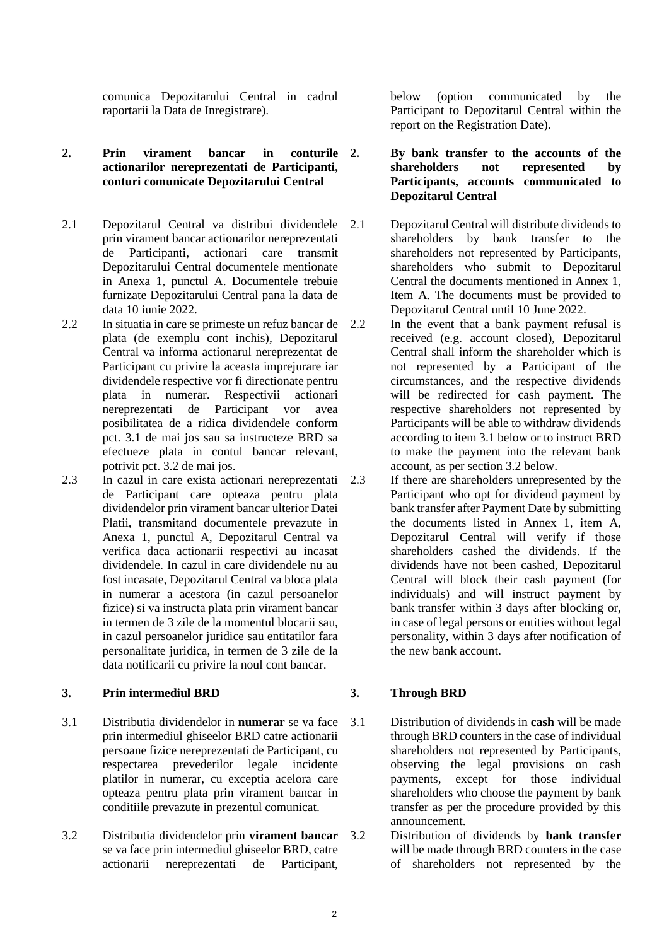comunica Depozitarului Central in cadrul raportarii la Data de Inregistrare).

## **2. Prin virament bancar in conturile actionarilor nereprezentati de Participanti, conturi comunicate Depozitarului Central**

- 2.1 Depozitarul Central va distribui dividendele prin virament bancar actionarilor nereprezentati de Participanti, actionari care transmit Depozitarului Central documentele mentionate in Anexa 1, punctul A. Documentele trebuie furnizate Depozitarului Central pana la data de data 10 iunie 2022.
- 2.2 In situatia in care se primeste un refuz bancar de plata (de exemplu cont inchis), Depozitarul Central va informa actionarul nereprezentat de Participant cu privire la aceasta imprejurare iar dividendele respective vor fi directionate pentru plata in numerar. Respectivii actionari nereprezentati de Participant vor avea posibilitatea de a ridica dividendele conform pct. [3.1](#page-1-0) de mai jos sau sa instructeze BRD sa efectueze plata in contul bancar relevant, potrivit pct. 3.2 de mai jos.
- <span id="page-1-1"></span>2.3 In cazul in care exista actionari nereprezentati de Participant care opteaza pentru plata dividendelor prin virament bancar ulterior Datei Platii, transmitand documentele prevazute in Anexa 1, punctul A, Depozitarul Central va verifica daca actionarii respectivi au incasat dividendele. In cazul in care dividendele nu au fost incasate, Depozitarul Central va bloca plata in numerar a acestora (in cazul persoanelor fizice) si va instructa plata prin virament bancar in termen de 3 zile de la momentul blocarii sau, in cazul persoanelor juridice sau entitatilor fara personalitate juridica, in termen de 3 zile de la data notificarii cu privire la noul cont bancar.

## **3. Prin intermediul BRD**

- <span id="page-1-0"></span>3.1 Distributia dividendelor in **numerar** se va face prin intermediul ghiseelor BRD catre actionarii persoane fizice nereprezentati de Participant, cu respectarea prevederilor legale incidente platilor in numerar, cu exceptia acelora care opteaza pentru plata prin virament bancar in conditiile prevazute in prezentul comunicat.
- 3.2 Distributia dividendelor prin **virament bancar** se va face prin intermediul ghiseelor BRD, catre actionarii nereprezentati de Participant,

below (option communicated by the Participant to Depozitarul Central within the report on the Registration Date).

## **2. By bank transfer to the accounts of the shareholders not represented by Participants, accounts communicated to Depozitarul Central**

2.1 Depozitarul Central will distribute dividends to shareholders by bank transfer to the shareholders not represented by Participants, shareholders who submit to Depozitarul Central the documents mentioned in Annex 1, Item A. The documents must be provided to Depozitarul Central until 10 June 2022.

- 2.2 In the event that a bank payment refusal is received (e.g. account closed), Depozitarul Central shall inform the shareholder which is not represented by a Participant of the circumstances, and the respective dividends will be redirected for cash payment. The respective shareholders not represented by Participants will be able to withdraw dividends according to item 3.1 below or to instruct BRD to make the payment into the relevant bank account, as per section 3.2 below.
- 2.3 If there are shareholders unrepresented by the Participant who opt for dividend payment by bank transfer after Payment Date by submitting the documents listed in Annex 1, item A, Depozitarul Central will verify if those shareholders cashed the dividends. If the dividends have not been cashed, Depozitarul Central will block their cash payment (for individuals) and will instruct payment by bank transfer within 3 days after blocking or, in case of legal persons or entities without legal personality, within 3 days after notification of the new bank account.

## **3. Through BRD**

- 3.1 Distribution of dividends in **cash** will be made through BRD counters in the case of individual shareholders not represented by Participants, observing the legal provisions on cash payments, except for those individual shareholders who choose the payment by bank transfer as per the procedure provided by this announcement.
	- Distribution of dividends by **bank transfer** will be made through BRD counters in the case of shareholders not represented by the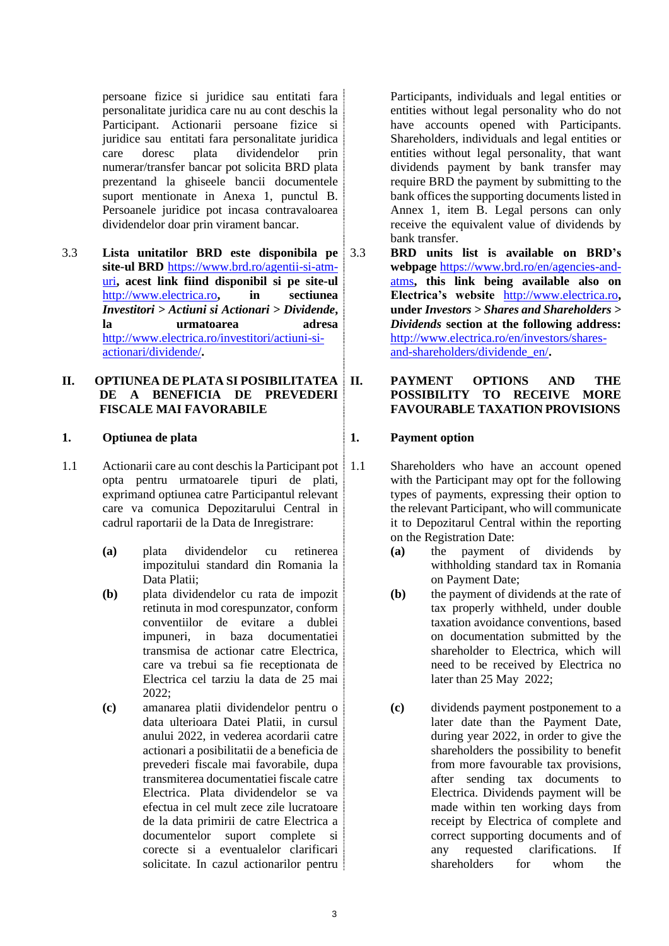persoane fizice si juridice sau entitati fara personalitate juridica care nu au cont deschis la Participant. Actionarii persoane fizice si juridice sau entitati fara personalitate juridica care doresc plata dividendelor prin numerar/transfer bancar pot solicita BRD plata prezentand la ghiseele bancii documentele suport mentionate in Anexa 1, punctul B. Persoanele juridice pot incasa contravaloarea dividendelor doar prin virament bancar.

3.3 **Lista unitatilor BRD este disponibila pe site-ul BRD** [https://www.brd.ro/agentii-si-atm](https://www.brd.ro/agentii-si-atm-uri)[uri](https://www.brd.ro/agentii-si-atm-uri)**, acest link fiind disponibil si pe site-ul**  [http://www.electrica.ro](http://www.electrica.ro/)**, in sectiunea**  *Investitori > Actiuni si Actionari > Dividende***, la urmatoarea adresa** [http://www.electrica.ro/investitori/actiuni-si](http://www.electrica.ro/investitori/actiuni-si-actionari/dividende/)[actionari/dividende/](http://www.electrica.ro/investitori/actiuni-si-actionari/dividende/)**.**

### **II. OPTIUNEA DE PLATA SI POSIBILITATEA DE A BENEFICIA DE PREVEDERI FISCALE MAI FAVORABILE**

## **1. Optiunea de plata**

- <span id="page-2-1"></span><span id="page-2-0"></span>1.1 Actionarii care au cont deschis la Participant pot opta pentru urmatoarele tipuri de plati, exprimand optiunea catre Participantul relevant care va comunica Depozitarului Central in cadrul raportarii de la Data de Inregistrare:
	- **(a)** plata dividendelor cu retinerea impozitului standard din Romania la Data Platii;
	- **(b)** plata dividendelor cu rata de impozit retinuta in mod corespunzator, conform conventiilor de evitare a dublei impuneri, in baza documentatiei transmisa de actionar catre Electrica, care va trebui sa fie receptionata de Electrica cel tarziu la data de 25 mai 2022;
	- **(c)** amanarea platii dividendelor pentru o data ulterioara Datei Platii, in cursul anului 2022, in vederea acordarii catre actionari a posibilitatii de a beneficia de prevederi fiscale mai favorabile, dupa transmiterea documentatiei fiscale catre Electrica. Plata dividendelor se va efectua in cel mult zece zile lucratoare de la data primirii de catre Electrica a documentelor suport complete si corecte si a eventualelor clarificari solicitate. In cazul actionarilor pentru

Participants, individuals and legal entities or entities without legal personality who do not have accounts opened with Participants. Shareholders, individuals and legal entities or entities without legal personality, that want dividends payment by bank transfer may require BRD the payment by submitting to the bank offices the supporting documents listed in Annex 1, item B. Legal persons can only receive the equivalent value of dividends by bank transfer.

3.3 **BRD units list is available on BRD's webpage** [https://www.brd.ro/en/agencies-and](https://www.brd.ro/en/agencies-and-atms)[atms](https://www.brd.ro/en/agencies-and-atms)**, this link being available also on Electrica's website** [http://www.electrica.ro](http://www.electrica.ro/)**, under** *Investors > Shares and Shareholders > Dividends* **section at the following address:** [http://www.electrica.ro/en/investors/shares](http://www.electrica.ro/en/investors/shares-and-shareholders/dividende_en/)[and-shareholders/dividende\\_en/](http://www.electrica.ro/en/investors/shares-and-shareholders/dividende_en/)**.**

#### **II. PAYMENT OPTIONS AND THE POSSIBILITY TO RECEIVE MORE FAVOURABLE TAXATION PROVISIONS**

## **1. Payment option**

- 1.1 Shareholders who have an account opened with the Participant may opt for the following types of payments, expressing their option to the relevant Participant, who will communicate it to Depozitarul Central within the reporting on the Registration Date:
	- **(a)** the payment of dividends by withholding standard tax in Romania on Payment Date;
	- **(b)** the payment of dividends at the rate of tax properly withheld, under double taxation avoidance conventions, based on documentation submitted by the shareholder to Electrica, which will need to be received by Electrica no later than 25 May 2022;
	- **(c)** dividends payment postponement to a later date than the Payment Date, during year 2022, in order to give the shareholders the possibility to benefit from more favourable tax provisions, after sending tax documents to Electrica. Dividends payment will be made within ten working days from receipt by Electrica of complete and correct supporting documents and of any requested clarifications. If shareholders for whom the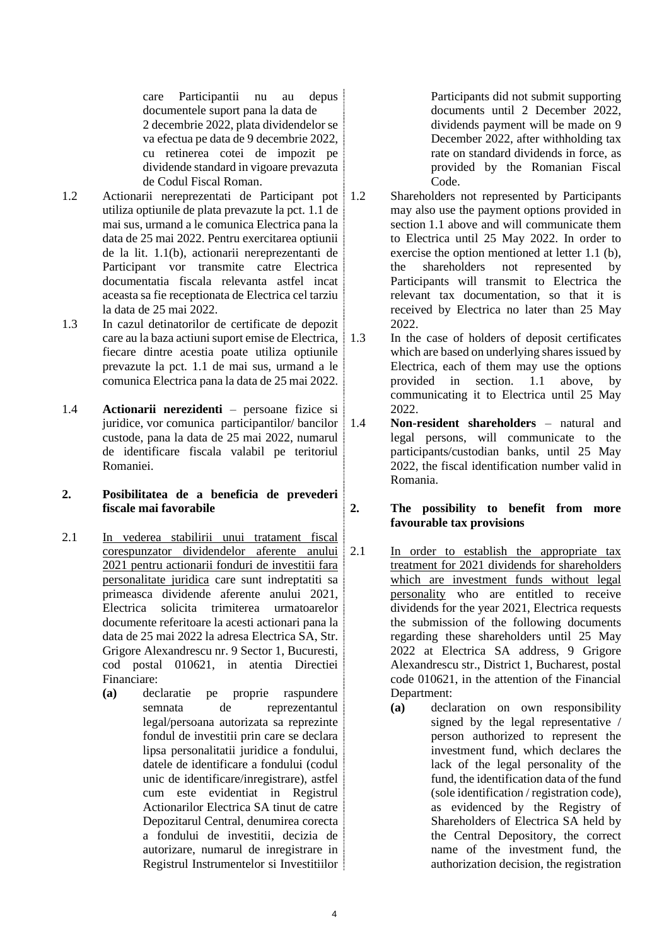care Participantii nu au depus documentele suport pana la data de 2 decembrie 2022, plata dividendelor se va efectua pe data de 9 decembrie 2022, cu retinerea cotei de impozit pe dividende standard in vigoare prevazuta de Codul Fiscal Roman.

- 1.2 Actionarii nereprezentati de Participant pot utiliza optiunile de plata prevazute la pct. [1.1](#page-2-0) de mai sus, urmand a le comunica Electrica pana la data de 25 mai 2022. Pentru exercitarea optiunii de la lit. [1.1\(b\),](#page-2-1) actionarii nereprezentanti de Participant vor transmite catre Electrica documentatia fiscala relevanta astfel incat aceasta sa fie receptionata de Electrica cel tarziu la data de 25 mai 2022.
- 1.3 In cazul detinatorilor de certificate de depozit care au la baza actiuni suport emise de Electrica, fiecare dintre acestia poate utiliza optiunile prevazute la pct. [1.1](#page-2-0) de mai sus, urmand a le comunica Electrica pana la data de 25 mai 2022.
- 1.4 **Actionarii nerezidenti** persoane fizice si juridice, vor comunica participantilor/ bancilor custode, pana la data de 25 mai 2022, numarul de identificare fiscala valabil pe teritoriul Romaniei.

## **2. Posibilitatea de a beneficia de prevederi fiscale mai favorabile**

- 2.1 In vederea stabilirii unui tratament fiscal corespunzator dividendelor aferente anului 2021 pentru actionarii fonduri de investitii fara personalitate juridica care sunt indreptatiti sa primeasca dividende aferente anului 2021, Electrica solicita trimiterea urmatoarelor documente referitoare la acesti actionari pana la data de 25 mai 2022 la adresa Electrica SA, Str. Grigore Alexandrescu nr. 9 Sector 1, Bucuresti, cod postal 010621, in atentia Directiei Financiare:
	- **(a)** declaratie pe proprie raspundere semnata de reprezentantul legal/persoana autorizata sa reprezinte fondul de investitii prin care se declara lipsa personalitatii juridice a fondului, datele de identificare a fondului (codul unic de identificare/inregistrare), astfel cum este evidentiat in Registrul Actionarilor Electrica SA tinut de catre Depozitarul Central, denumirea corecta a fondului de investitii, decizia de autorizare, numarul de inregistrare in Registrul Instrumentelor si Investitiilor

Participants did not submit supporting documents until 2 December 2022, dividends payment will be made on 9 December 2022, after withholding tax rate on standard dividends in force, as provided by the Romanian Fiscal Code.

- 1.2 Shareholders not represented by Participants may also use the payment options provided in section 1.1 above and will communicate them to Electrica until 25 May 2022. In order to exercise the option mentioned at letter 1.1 (b), the shareholders not represented by Participants will transmit to Electrica the relevant tax documentation, so that it is received by Electrica no later than 25 May 2022.
- 1.3 In the case of holders of deposit certificates which are based on underlying shares issued by Electrica, each of them may use the options provided in section. 1.1 above, by communicating it to Electrica until 25 May 2022.
- 1.4 **Non-resident shareholders** natural and legal persons, will communicate to the participants/custodian banks, until 25 May 2022, the fiscal identification number valid in Romania.

## **2. The possibility to benefit from more favourable tax provisions**

- 2.1 In order to establish the appropriate tax treatment for 2021 dividends for shareholders which are investment funds without legal personality who are entitled to receive dividends for the year 2021, Electrica requests the submission of the following documents regarding these shareholders until 25 May 2022 at Electrica SA address, 9 Grigore Alexandrescu str., District 1, Bucharest, postal code 010621, in the attention of the Financial Department:
	- **(a)** declaration on own responsibility signed by the legal representative / person authorized to represent the investment fund, which declares the lack of the legal personality of the fund, the identification data of the fund (sole identification / registration code), as evidenced by the Registry of Shareholders of Electrica SA held by the Central Depository, the correct name of the investment fund, the authorization decision, the registration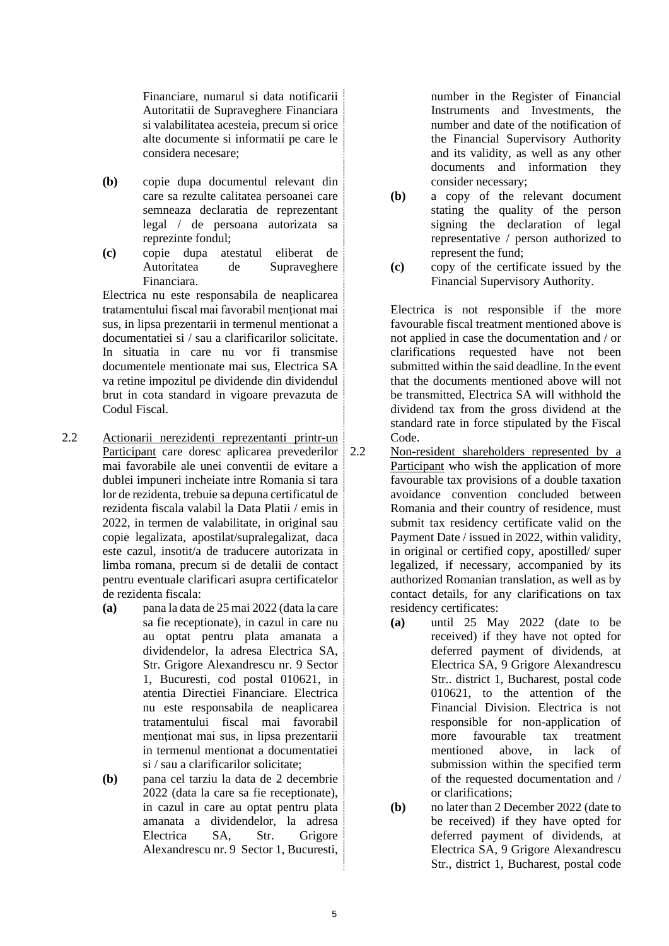Financiare, numarul si data notificarii Autoritatii de Supraveghere Financiara si valabilitatea acesteia, precum si orice alte documente si informatii pe care le considera necesare;

- **(b)** copie dupa documentul relevant din care sa rezulte calitatea persoanei care semneaza declaratia de reprezentant legal / de persoana autorizata sa reprezinte fondul;
- **(c)** copie dupa atestatul eliberat de Autoritatea de Supraveghere Financiara.

Electrica nu este responsabila de neaplicarea tratamentului fiscal mai favorabil mentionat mai sus, in lipsa prezentarii in termenul mentionat a documentatiei si / sau a clarificarilor solicitate. In situatia in care nu vor fi transmise documentele mentionate mai sus, Electrica SA va retine impozitul pe dividende din dividendul brut in cota standard in vigoare prevazuta de Codul Fiscal.

- 2.2 Actionarii nerezidenti reprezentanti printr-un Participant care doresc aplicarea prevederilor mai favorabile ale unei conventii de evitare a dublei impuneri incheiate intre Romania si tara lor de rezidenta, trebuie sa depuna certificatul de rezidenta fiscala valabil la Data Platii / emis in 2022, in termen de valabilitate, in original sau copie legalizata, apostilat/supralegalizat, daca este cazul, insotit/a de traducere autorizata in limba romana, precum si de detalii de contact pentru eventuale clarificari asupra certificatelor de rezidenta fiscala:
	- **(a)** pana la data de 25 mai 2022 (data la care sa fie receptionate), in cazul in care nu au optat pentru plata amanata a dividendelor, la adresa Electrica SA, Str. Grigore Alexandrescu nr. 9 Sector 1, Bucuresti, cod postal 010621, in atentia Directiei Financiare. Electrica nu este responsabila de neaplicarea tratamentului fiscal mai favorabil menţionat mai sus, in lipsa prezentarii in termenul mentionat a documentatiei si / sau a clarificarilor solicitate;
	- **(b)** pana cel tarziu la data de 2 decembrie 2022 (data la care sa fie receptionate), in cazul in care au optat pentru plata amanata a dividendelor, la adresa Electrica SA, Str. Grigore Alexandrescu nr. 9 Sector 1, Bucuresti,

number in the Register of Financial Instruments and Investments, the number and date of the notification of the Financial Supervisory Authority and its validity, as well as any other documents and information they consider necessary;

- **(b)** a copy of the relevant document stating the quality of the person signing the declaration of legal representative / person authorized to represent the fund;
- **(c)** copy of the certificate issued by the Financial Supervisory Authority.

Electrica is not responsible if the more favourable fiscal treatment mentioned above is not applied in case the documentation and / or clarifications requested have not been submitted within the said deadline. In the event that the documents mentioned above will not be transmitted, Electrica SA will withhold the dividend tax from the gross dividend at the standard rate in force stipulated by the Fiscal Code.

- 2.2 Non-resident shareholders represented by a Participant who wish the application of more favourable tax provisions of a double taxation avoidance convention concluded between Romania and their country of residence, must submit tax residency certificate valid on the Payment Date / issued in 2022, within validity, in original or certified copy, apostilled/ super legalized, if necessary, accompanied by its authorized Romanian translation, as well as by contact details, for any clarifications on tax residency certificates:
	- **(a)** until 25 May 2022 (date to be received) if they have not opted for deferred payment of dividends, at Electrica SA, 9 Grigore Alexandrescu Str.. district 1, Bucharest, postal code 010621, to the attention of the Financial Division. Electrica is not responsible for non-application of more favourable tax treatment mentioned above, in lack of submission within the specified term of the requested documentation and / or clarifications;
	- **(b)** no later than 2 December 2022 (date to be received) if they have opted for deferred payment of dividends, at Electrica SA, 9 Grigore Alexandrescu Str., district 1, Bucharest, postal code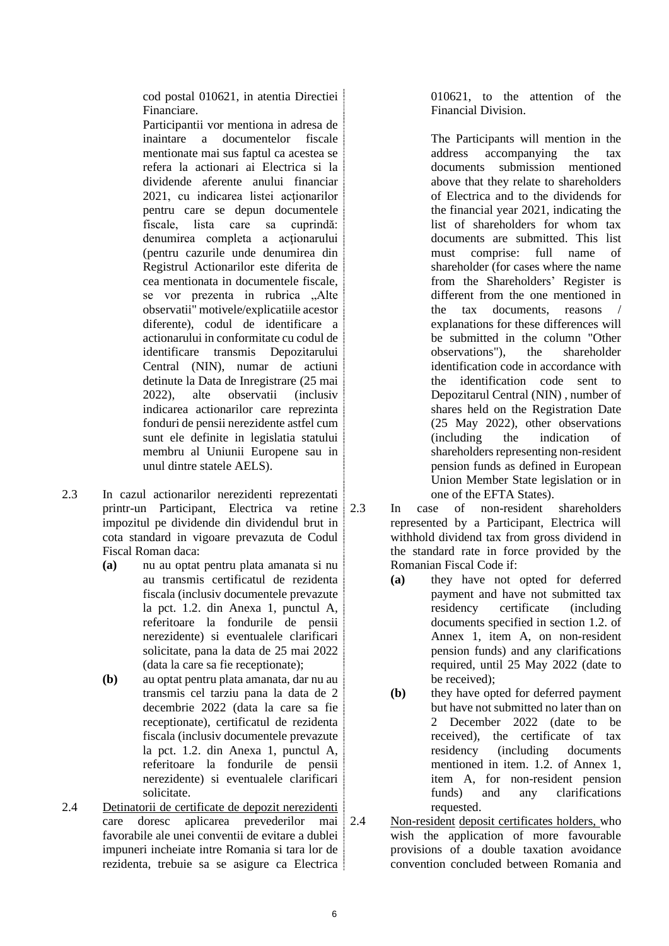cod postal 010621, in atentia Directiei Financiare.

Participantii vor mentiona in adresa de inaintare a documentelor fiscale mentionate mai sus faptul ca acestea se refera la actionari ai Electrica si la dividende aferente anului financiar 2021, cu indicarea listei actionarilor pentru care se depun documentele fiscale, lista care sa cuprindă: denumirea completa a acţionarului (pentru cazurile unde denumirea din Registrul Actionarilor este diferita de cea mentionata in documentele fiscale, se vor prezenta in rubrica "Alte observatii" motivele/explicatiile acestor diferente), codul de identificare a actionarului in conformitate cu codul de identificare transmis Depozitarului Central (NIN), numar de actiuni detinute la Data de Inregistrare (25 mai 2022), alte observatii (inclusiv indicarea actionarilor care reprezinta fonduri de pensii nerezidente astfel cum sunt ele definite in legislatia statului membru al Uniunii Europene sau in unul dintre statele AELS).

- 2.3 In cazul actionarilor nerezidenti reprezentati printr-un Participant, Electrica va retine impozitul pe dividende din dividendul brut in cota standard in vigoare prevazuta de Codul Fiscal Roman daca:
	- **(a)** nu au optat pentru plata amanata si nu au transmis certificatul de rezidenta fiscala (inclusiv documentele prevazute la pct. 1.2. din Anexa 1, punctul A, referitoare la fondurile de pensii nerezidente) si eventualele clarificari solicitate, pana la data de 25 mai 2022 (data la care sa fie receptionate);
	- **(b)** au optat pentru plata amanata, dar nu au transmis cel tarziu pana la data de 2 decembrie 2022 (data la care sa fie receptionate), certificatul de rezidenta fiscala (inclusiv documentele prevazute la pct. 1.2. din Anexa 1, punctul A, referitoare la fondurile de pensii nerezidente) si eventualele clarificari solicitate.
- 2.4 Detinatorii de certificate de depozit nerezidenti care doresc aplicarea prevederilor mai favorabile ale unei conventii de evitare a dublei impuneri incheiate intre Romania si tara lor de rezidenta, trebuie sa se asigure ca Electrica

010621, to the attention of the Financial Division.

The Participants will mention in the address accompanying the tax documents submission mentioned above that they relate to shareholders of Electrica and to the dividends for the financial year 2021, indicating the list of shareholders for whom tax documents are submitted. This list must comprise: full name of shareholder (for cases where the name from the Shareholders' Register is different from the one mentioned in the tax documents, reasons / explanations for these differences will be submitted in the column "Other observations"), the shareholder identification code in accordance with the identification code sent to Depozitarul Central (NIN) , number of shares held on the Registration Date (25 May 2022), other observations (including the indication of shareholders representing non-resident pension funds as defined in European Union Member State legislation or in one of the EFTA States).

- In case of non-resident shareholders represented by a Participant, Electrica will withhold dividend tax from gross dividend in the standard rate in force provided by the Romanian Fiscal Code if:
	- **(a)** they have not opted for deferred payment and have not submitted tax residency certificate (including documents specified in section 1.2. of Annex 1, item A, on non-resident pension funds) and any clarifications required, until 25 May 2022 (date to be received);
	- **(b)** they have opted for deferred payment but have not submitted no later than on 2 December 2022 (date to be received), the certificate of tax residency (including documents mentioned in item. 1.2. of Annex 1, item A, for non-resident pension funds) and any clarifications requested.
- Non-resident deposit certificates holders, who wish the application of more favourable provisions of a double taxation avoidance convention concluded between Romania and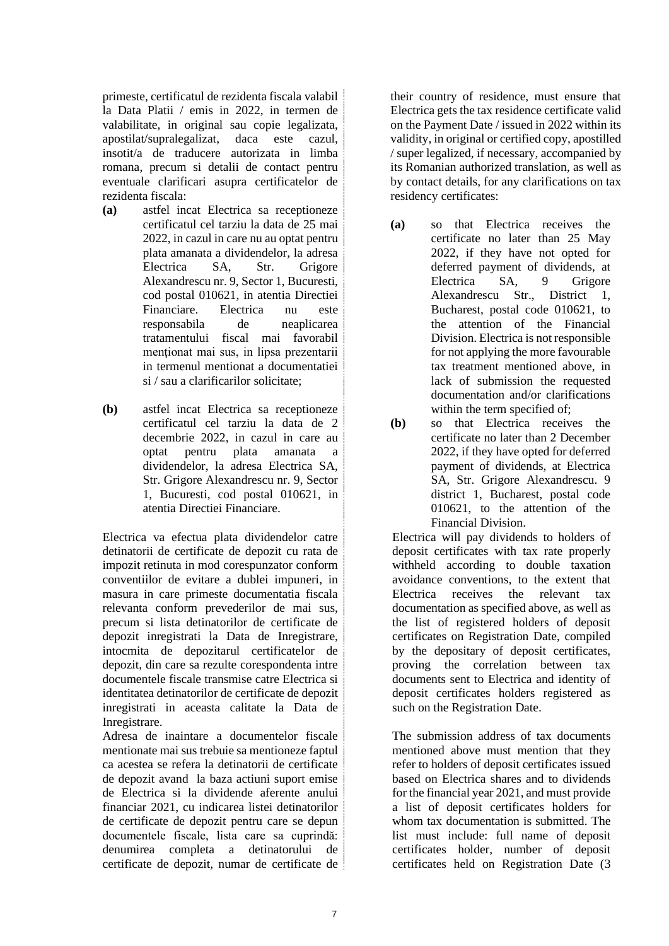primeste, certificatul de rezidenta fiscala valabil la Data Platii / emis in 2022, in termen de valabilitate, in original sau copie legalizata, apostilat/supralegalizat, daca este cazul, insotit/a de traducere autorizata in limba romana, precum si detalii de contact pentru eventuale clarificari asupra certificatelor de rezidenta fiscala:

- **(a)** astfel incat Electrica sa receptioneze certificatul cel tarziu la data de 25 mai 2022, in cazul in care nu au optat pentru plata amanata a dividendelor, la adresa Electrica SA, Str. Grigore Alexandrescu nr. 9, Sector 1, Bucuresti, cod postal 010621, in atentia Directiei Financiare. Electrica nu este responsabila de neaplicarea tratamentului fiscal mai favorabil mentionat mai sus, in lipsa prezentarii in termenul mentionat a documentatiei si / sau a clarificarilor solicitate;
- **(b)** astfel incat Electrica sa receptioneze certificatul cel tarziu la data de 2 decembrie 2022, in cazul in care au optat pentru plata amanata a dividendelor, la adresa Electrica SA, Str. Grigore Alexandrescu nr. 9, Sector 1, Bucuresti, cod postal 010621, in atentia Directiei Financiare.

Electrica va efectua plata dividendelor catre detinatorii de certificate de depozit cu rata de impozit retinuta in mod corespunzator conform conventiilor de evitare a dublei impuneri, in masura in care primeste documentatia fiscala relevanta conform prevederilor de mai sus, precum si lista detinatorilor de certificate de depozit inregistrati la Data de Inregistrare, intocmita de depozitarul certificatelor de depozit, din care sa rezulte corespondenta intre documentele fiscale transmise catre Electrica si identitatea detinatorilor de certificate de depozit inregistrati in aceasta calitate la Data de Inregistrare.

Adresa de inaintare a documentelor fiscale mentionate mai sus trebuie sa mentioneze faptul ca acestea se refera la detinatorii de certificate de depozit avand la baza actiuni suport emise de Electrica si la dividende aferente anului financiar 2021, cu indicarea listei detinatorilor de certificate de depozit pentru care se depun documentele fiscale, lista care sa cuprindă: denumirea completa a detinatorului de certificate de depozit, numar de certificate de their country of residence, must ensure that Electrica gets the tax residence certificate valid on the Payment Date / issued in 2022 within its validity, in original or certified copy, apostilled / super legalized, if necessary, accompanied by its Romanian authorized translation, as well as by contact details, for any clarifications on tax residency certificates:

- **(a)** so that Electrica receives the certificate no later than 25 May 2022, if they have not opted for deferred payment of dividends, at Electrica SA, 9 Grigore Alexandrescu Str., District 1, Bucharest, postal code 010621, to the attention of the Financial Division. Electrica is not responsible for not applying the more favourable tax treatment mentioned above, in lack of submission the requested documentation and/or clarifications within the term specified of;
- **(b)** so that Electrica receives the certificate no later than 2 December 2022, if they have opted for deferred payment of dividends, at Electrica SA, Str. Grigore Alexandrescu. 9 district 1, Bucharest, postal code 010621, to the attention of the Financial Division.

Electrica will pay dividends to holders of deposit certificates with tax rate properly withheld according to double taxation avoidance conventions, to the extent that Electrica receives the relevant tax documentation as specified above, as well as the list of registered holders of deposit certificates on Registration Date, compiled by the depositary of deposit certificates, proving the correlation between tax documents sent to Electrica and identity of deposit certificates holders registered as such on the Registration Date.

The submission address of tax documents mentioned above must mention that they refer to holders of deposit certificates issued based on Electrica shares and to dividends for the financial year 2021, and must provide a list of deposit certificates holders for whom tax documentation is submitted. The list must include: full name of deposit certificates holder, number of deposit certificates held on Registration Date (3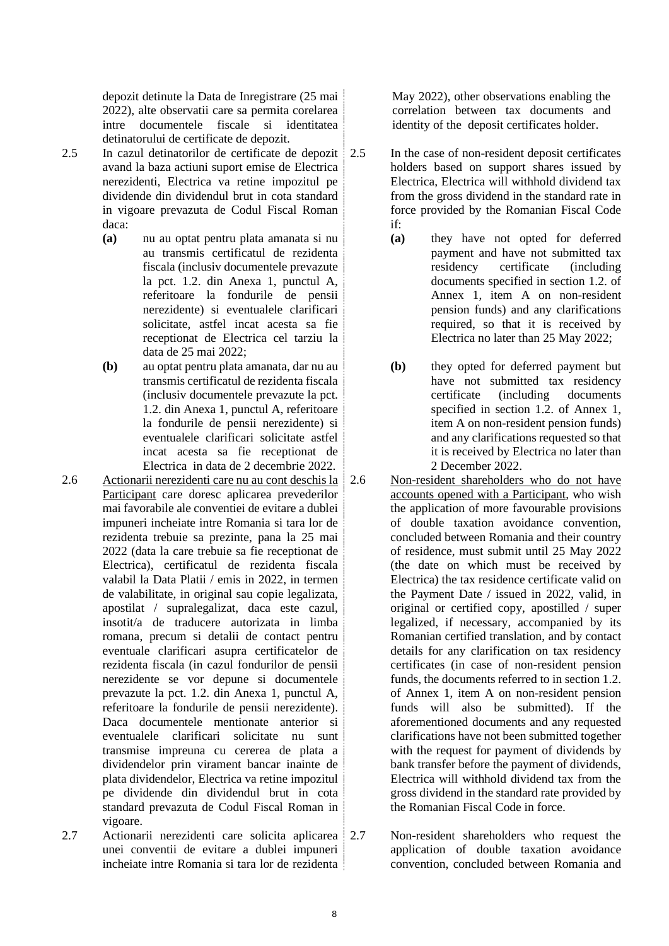depozit detinute la Data de Inregistrare (25 mai 2022), alte observatii care sa permita corelarea intre documentele fiscale si identitatea detinatorului de certificate de depozit.

- 2.5 In cazul detinatorilor de certificate de depozit | 2.5 avand la baza actiuni suport emise de Electrica nerezidenti, Electrica va retine impozitul pe dividende din dividendul brut in cota standard in vigoare prevazuta de Codul Fiscal Roman daca:
	- **(a)** nu au optat pentru plata amanata si nu au transmis certificatul de rezidenta fiscala (inclusiv documentele prevazute la pct. 1.2. din Anexa 1, punctul A, referitoare la fondurile de pensii nerezidente) si eventualele clarificari solicitate, astfel incat acesta sa fie receptionat de Electrica cel tarziu la data de 25 mai 2022;
	- **(b)** au optat pentru plata amanata, dar nu au transmis certificatul de rezidenta fiscala (inclusiv documentele prevazute la pct. 1.2. din Anexa 1, punctul A, referitoare la fondurile de pensii nerezidente) si eventualele clarificari solicitate astfel incat acesta sa fie receptionat de Electrica in data de 2 decembrie 2022.
- 2.6 Actionarii nerezidenti care nu au cont deschis la Participant care doresc aplicarea prevederilor mai favorabile ale conventiei de evitare a dublei impuneri incheiate intre Romania si tara lor de rezidenta trebuie sa prezinte, pana la 25 mai 2022 (data la care trebuie sa fie receptionat de Electrica), certificatul de rezidenta fiscala valabil la Data Platii / emis in 2022, in termen de valabilitate, in original sau copie legalizata, apostilat / supralegalizat, daca este cazul, insotit/a de traducere autorizata in limba romana, precum si detalii de contact pentru eventuale clarificari asupra certificatelor de rezidenta fiscala (in cazul fondurilor de pensii nerezidente se vor depune si documentele prevazute la pct. 1.2. din Anexa 1, punctul A, referitoare la fondurile de pensii nerezidente). Daca documentele mentionate anterior si eventualele clarificari solicitate nu sunt transmise impreuna cu cererea de plata a dividendelor prin virament bancar inainte de plata dividendelor, Electrica va retine impozitul pe dividende din dividendul brut in cota standard prevazuta de Codul Fiscal Roman in vigoare.
- 2.7 Actionarii nerezidenti care solicita aplicarea 2.7 unei conventii de evitare a dublei impuneri incheiate intre Romania si tara lor de rezidenta

May 2022), other observations enabling the correlation between tax documents and identity of the deposit certificates holder.

- In the case of non-resident deposit certificates holders based on support shares issued by Electrica, Electrica will withhold dividend tax from the gross dividend in the standard rate in force provided by the Romanian Fiscal Code if:
	- **(a)** they have not opted for deferred payment and have not submitted tax residency certificate (including documents specified in section 1.2. of Annex 1, item A on non-resident pension funds) and any clarifications required, so that it is received by Electrica no later than 25 May 2022;
	- **(b)** they opted for deferred payment but have not submitted tax residency certificate (including documents specified in section 1.2. of Annex 1, item A on non-resident pension funds) and any clarifications requested so that it is received by Electrica no later than 2 December 2022.
- 2.6 Non-resident shareholders who do not have accounts opened with a Participant, who wish the application of more favourable provisions of double taxation avoidance convention, concluded between Romania and their country of residence, must submit until 25 May 2022 (the date on which must be received by Electrica) the tax residence certificate valid on the Payment Date / issued in 2022, valid, in original or certified copy, apostilled / super legalized, if necessary, accompanied by its Romanian certified translation, and by contact details for any clarification on tax residency certificates (in case of non-resident pension funds, the documents referred to in section 1.2. of Annex 1, item A on non-resident pension funds will also be submitted). If the aforementioned documents and any requested clarifications have not been submitted together with the request for payment of dividends by bank transfer before the payment of dividends, Electrica will withhold dividend tax from the gross dividend in the standard rate provided by the Romanian Fiscal Code in force.
- Non-resident shareholders who request the application of double taxation avoidance convention, concluded between Romania and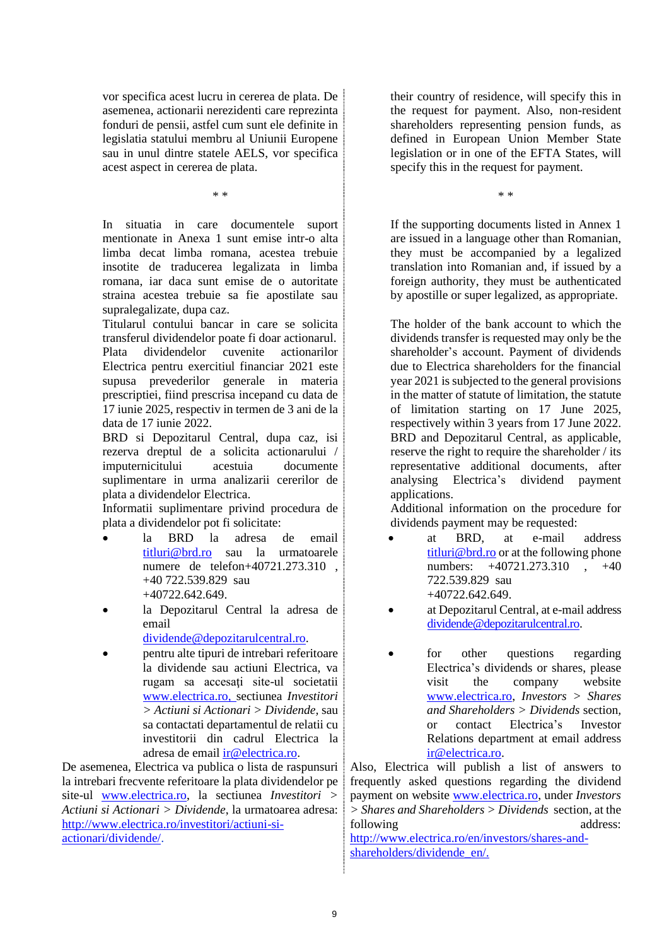vor specifica acest lucru in cererea de plata. De asemenea, actionarii nerezidenti care reprezinta fonduri de pensii, astfel cum sunt ele definite in legislatia statului membru al Uniunii Europene sau in unul dintre statele AELS, vor specifica acest aspect in cererea de plata.

\* \*

In situatia in care documentele suport mentionate in Anexa 1 sunt emise intr-o alta limba decat limba romana, acestea trebuie insotite de traducerea legalizata in limba romana, iar daca sunt emise de o autoritate straina acestea trebuie sa fie apostilate sau supralegalizate, dupa caz.

Titularul contului bancar in care se solicita transferul dividendelor poate fi doar actionarul. Plata dividendelor cuvenite actionarilor Electrica pentru exercitiul financiar 2021 este supusa prevederilor generale in materia prescriptiei, fiind prescrisa incepand cu data de 17 iunie 2025, respectiv in termen de 3 ani de la data de 17 iunie 2022.

BRD si Depozitarul Central, dupa caz, isi rezerva dreptul de a solicita actionarului / imputernicitului acestuia documente suplimentare in urma analizarii cererilor de plata a dividendelor Electrica.

Informatii suplimentare privind procedura de plata a dividendelor pot fi solicitate:

- la BRD la adresa de email [titluri@brd.ro](mailto:titluri@brd.ro) sau la urmatoarele numere de telefon+40721.273.310 , +40 722.539.829 sau +40722.642.649.
- la Depozitarul Central la adresa de email

[dividende@depozitarulcentral.ro.](mailto:dividende@depozitarulcentral.ro)

• pentru alte tipuri de intrebari referitoare la dividende sau actiuni Electrica, va rugam sa accesaţi site-ul societatii [www.electrica.ro,](http://www.electrica.ro/) sectiunea *Investitori > Actiuni si Actionari > Dividende,* sau sa contactati departamentul de relatii cu investitorii din cadrul Electrica la adresa de email [ir@electrica.ro.](mailto:ir@electrica.ro)

De asemenea, Electrica va publica o lista de raspunsuri la intrebari frecvente referitoare la plata dividendelor pe site-ul [www.electrica.ro,](http://www.electrica.ro/) la sectiunea *Investitori > Actiuni si Actionari > Dividende*, la urmatoarea adresa: [http://www.electrica.ro/investitori/actiuni-si](http://www.electrica.ro/investitori/actiuni-si-actionari/dividende/)[actionari/dividende/.](http://www.electrica.ro/investitori/actiuni-si-actionari/dividende/)

their country of residence, will specify this in the request for payment. Also, non-resident shareholders representing pension funds, as defined in European Union Member State legislation or in one of the EFTA States, will specify this in the request for payment.

\* \*

If the supporting documents listed in Annex 1 are issued in a language other than Romanian, they must be accompanied by a legalized translation into Romanian and, if issued by a foreign authority, they must be authenticated by apostille or super legalized, as appropriate.

The holder of the bank account to which the dividends transfer is requested may only be the shareholder's account. Payment of dividends due to Electrica shareholders for the financial year 2021 is subjected to the general provisions in the matter of statute of limitation, the statute of limitation starting on 17 June 2025, respectively within 3 years from 17 June 2022. BRD and Depozitarul Central, as applicable, reserve the right to require the shareholder / its representative additional documents, after analysing Electrica's dividend payment applications.

Additional information on the procedure for dividends payment may be requested:

- at BRD, at e-mail address [titluri@brd.ro](mailto:titluri@brd.ro) or at the following phone numbers:  $+40721.273.310 +40$ 722.539.829 sau +40722.642.649.
- at Depozitarul Central, at e-mail address [dividende@depozitarulcentral.ro.](mailto:dividende@depozitarulcentral.ro)
- for other questions regarding Electrica's dividends or shares, please visit the company website [www.electrica.ro,](http://www.electrica.ro/) *Investors > Shares and Shareholders > Dividends* section*,* or contact Electrica's Investor Relations department at email address [ir@electrica.ro.](mailto:ir@electrica.ro)

Also, Electrica will publish a list of answers to frequently asked questions regarding the dividend payment on website [www.electrica.ro,](http://www.electrica.ro/) under *Investors > Shares and Shareholders > Dividends* section, at the following address:

[http://www.electrica.ro/en/investors/shares-and](http://www.electrica.ro/en/investors/shares-and-shareholders/dividende_en/)[shareholders/dividende\\_en/.](http://www.electrica.ro/en/investors/shares-and-shareholders/dividende_en/)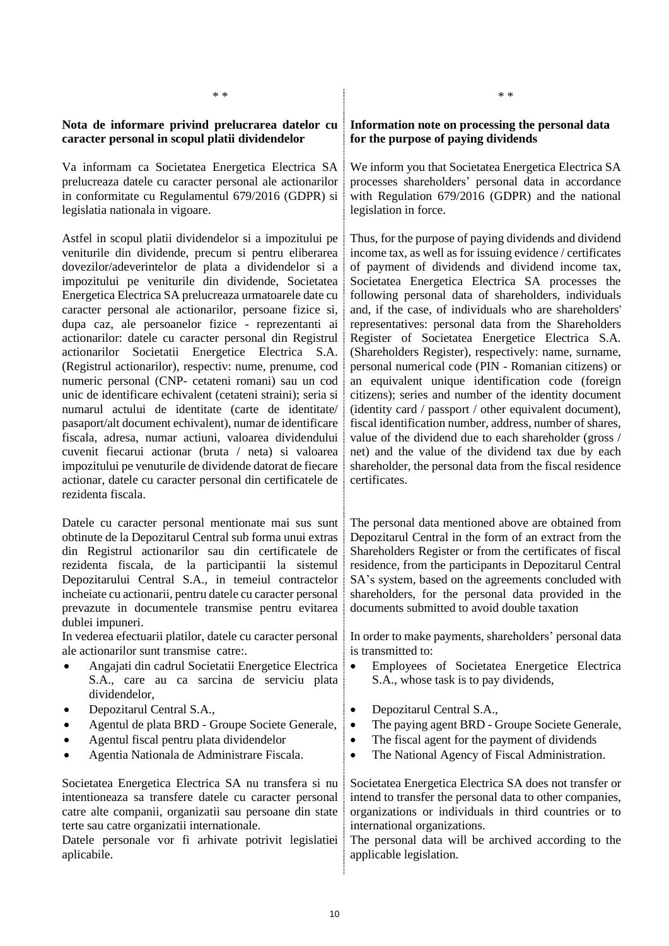## **Nota de informare privind prelucrarea datelor cu caracter personal in scopul platii dividendelor**

Va informam ca Societatea Energetica Electrica SA prelucreaza datele cu caracter personal ale actionarilor in conformitate cu Regulamentul 679/2016 (GDPR) si legislatia nationala in vigoare.

Astfel in scopul platii dividendelor si a impozitului pe veniturile din dividende, precum si pentru eliberarea dovezilor/adeverintelor de plata a dividendelor si a impozitului pe veniturile din dividende, Societatea Energetica Electrica SA prelucreaza urmatoarele date cu caracter personal ale actionarilor, persoane fizice si, dupa caz, ale persoanelor fizice - reprezentanti ai actionarilor: datele cu caracter personal din Registrul actionarilor Societatii Energetice Electrica S.A. (Registrul actionarilor), respectiv: nume, prenume, cod numeric personal (CNP- cetateni romani) sau un cod unic de identificare echivalent (cetateni straini); seria si numarul actului de identitate (carte de identitate/ pasaport/alt document echivalent), numar de identificare fiscala, adresa, numar actiuni, valoarea dividendului cuvenit fiecarui actionar (bruta / neta) si valoarea impozitului pe venuturile de dividende datorat de fiecare actionar, datele cu caracter personal din certificatele de rezidenta fiscala.

Datele cu caracter personal mentionate mai sus sunt obtinute de la Depozitarul Central sub forma unui extras din Registrul actionarilor sau din certificatele de rezidenta fiscala, de la participantii la sistemul Depozitarului Central S.A., in temeiul contractelor incheiate cu actionarii, pentru datele cu caracter personal prevazute in documentele transmise pentru evitarea dublei impuneri.

In vederea efectuarii platilor, datele cu caracter personal ale actionarilor sunt transmise catre:.

- Angajati din cadrul Societatii Energetice Electrica S.A., care au ca sarcina de serviciu plata dividendelor,
- Depozitarul Central S.A.,
- Agentul de plata BRD Groupe Societe Generale,
- Agentul fiscal pentru plata dividendelor
- Agentia Nationala de Administrare Fiscala.

Societatea Energetica Electrica SA nu transfera si nu intentioneaza sa transfere datele cu caracter personal catre alte companii, organizatii sau persoane din state terte sau catre organizatii internationale.

Datele personale vor fi arhivate potrivit legislatiei aplicabile.

#### **Information note on processing the personal data for the purpose of paying dividends**

We inform you that Societatea Energetica Electrica SA processes shareholders' personal data in accordance with Regulation 679/2016 (GDPR) and the national legislation in force.

Thus, for the purpose of paying dividends and dividend income tax, as well as for issuing evidence / certificates of payment of dividends and dividend income tax, Societatea Energetica Electrica SA processes the following personal data of shareholders, individuals and, if the case, of individuals who are shareholders' representatives: personal data from the Shareholders Register of Societatea Energetice Electrica S.A. (Shareholders Register), respectively: name, surname, personal numerical code (PIN - Romanian citizens) or an equivalent unique identification code (foreign citizens); series and number of the identity document (identity card / passport / other equivalent document), fiscal identification number, address, number of shares, value of the dividend due to each shareholder (gross / net) and the value of the dividend tax due by each shareholder, the personal data from the fiscal residence certificates.

The personal data mentioned above are obtained from Depozitarul Central in the form of an extract from the Shareholders Register or from the certificates of fiscal residence, from the participants in Depozitarul Central SA's system, based on the agreements concluded with shareholders, for the personal data provided in the documents submitted to avoid double taxation

In order to make payments, shareholders' personal data is transmitted to:

- Employees of Societatea Energetice Electrica S.A., whose task is to pay dividends,
- Depozitarul Central S.A.,
- The paying agent BRD Groupe Societe Generale,
- The fiscal agent for the payment of dividends
- The National Agency of Fiscal Administration.

Societatea Energetica Electrica SA does not transfer or intend to transfer the personal data to other companies, organizations or individuals in third countries or to international organizations.

The personal data will be archived according to the applicable legislation.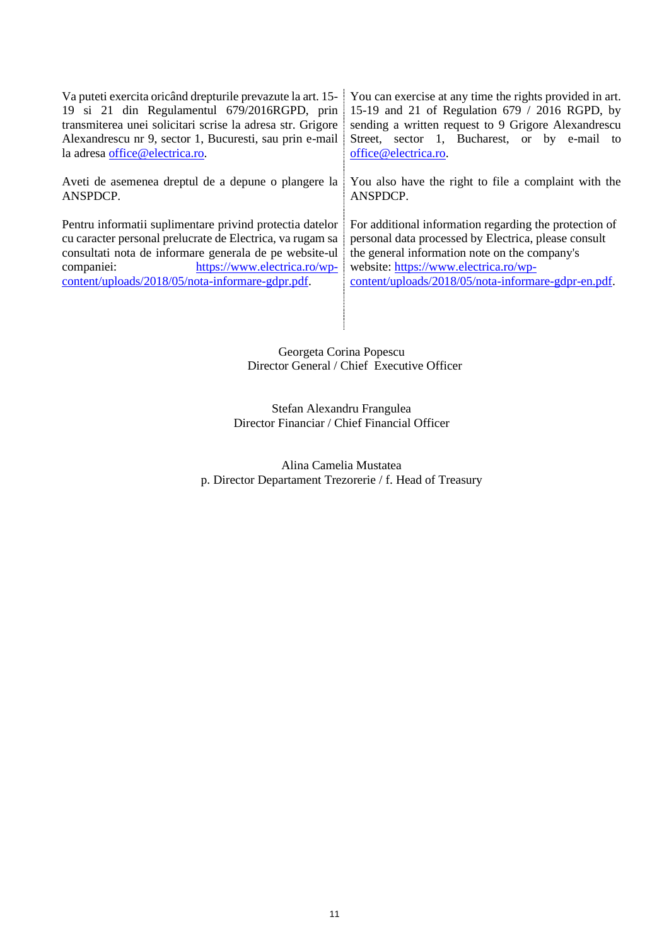| Va puteti exercita oricând drepturile prevazute la art. 15-                                                                                                                                                                                                                       | You can exercise at any time the rights provided in art.                                                                                                                                                                                                        |
|-----------------------------------------------------------------------------------------------------------------------------------------------------------------------------------------------------------------------------------------------------------------------------------|-----------------------------------------------------------------------------------------------------------------------------------------------------------------------------------------------------------------------------------------------------------------|
| 19 si 21 din Regulamentul 679/2016RGPD, prin                                                                                                                                                                                                                                      | 15-19 and 21 of Regulation 679 / 2016 RGPD, by                                                                                                                                                                                                                  |
| transmiterea unei solicitari scrise la adresa str. Grigore                                                                                                                                                                                                                        | sending a written request to 9 Grigore Alexandrescu                                                                                                                                                                                                             |
| Alexandrescu nr 9, sector 1, Bucuresti, sau prin e-mail                                                                                                                                                                                                                           | Street, sector 1, Bucharest, or by e-mail to                                                                                                                                                                                                                    |
| la adresa office@electrica.ro.                                                                                                                                                                                                                                                    | office@electrica.ro.                                                                                                                                                                                                                                            |
| Aveti de asemenea dreptul de a depune o plangere la                                                                                                                                                                                                                               | You also have the right to file a complaint with the                                                                                                                                                                                                            |
| ANSPDCP.                                                                                                                                                                                                                                                                          | ANSPDCP.                                                                                                                                                                                                                                                        |
| Pentru informatii suplimentare privind protectia datelor<br>cu caracter personal prelucrate de Electrica, va rugam sa<br>consultati nota de informare generala de pe website-ul<br>https://www.electrica.ro/wp-<br>companiei:<br>content/uploads/2018/05/nota-informare-gdpr.pdf. | For additional information regarding the protection of<br>personal data processed by Electrica, please consult<br>the general information note on the company's<br>website: https://www.electrica.ro/wp-<br>content/uploads/2018/05/nota-informare-gdpr-en.pdf. |

Georgeta Corina Popescu Director General / Chief Executive Officer

> Stefan Alexandru Frangulea Director Financiar / Chief Financial Officer

Alina Camelia Mustatea p. Director Departament Trezorerie / f. Head of Treasury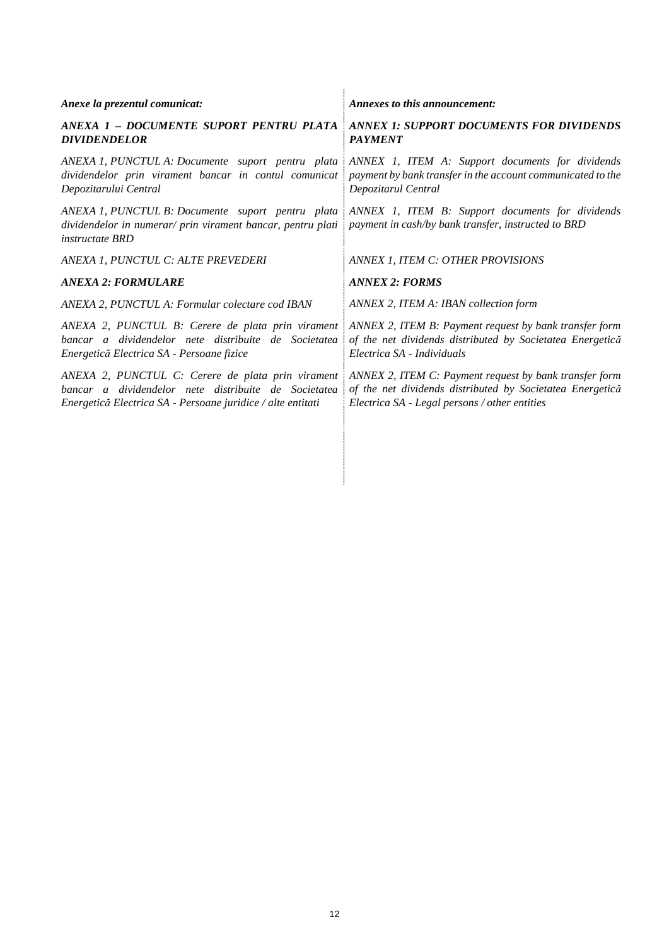| Anexe la prezentul comunicat:                                                                                                                                            | Annexes to this announcement:                                                                                                                                        |
|--------------------------------------------------------------------------------------------------------------------------------------------------------------------------|----------------------------------------------------------------------------------------------------------------------------------------------------------------------|
| ANEXA 1 - DOCUMENTE SUPORT PENTRU PLATA<br><b>DIVIDENDELOR</b>                                                                                                           | <b>ANNEX 1: SUPPORT DOCUMENTS FOR DIVIDENDS</b><br><b>PAYMENT</b>                                                                                                    |
| ANEXA 1, PUNCTUL A: Documente suport pentru plata<br>dividendelor prin virament bancar in contul comunicat<br>Depozitarului Central                                      | ANNEX 1, ITEM A: Support documents for dividends<br>payment by bank transfer in the account communicated to the<br>Depozitarul Central                               |
| ANEXA 1, PUNCTUL B: Documente suport pentru plata<br>dividendelor in numerar/ prin virament bancar, pentru plati<br><i>instructate BRD</i>                               | ANNEX 1, ITEM B: Support documents for dividends<br>payment in cash/by bank transfer, instructed to BRD                                                              |
| ANEXA 1, PUNCTUL C: ALTE PREVEDERI                                                                                                                                       | ANNEX 1, ITEM C: OTHER PROVISIONS                                                                                                                                    |
| ANEXA 2: FORMULARE                                                                                                                                                       | <b>ANNEX 2: FORMS</b>                                                                                                                                                |
| ANEXA 2, PUNCTUL A: Formular colectare cod IBAN                                                                                                                          | ANNEX 2, ITEM A: IBAN collection form                                                                                                                                |
| ANEXA 2, PUNCTUL B: Cerere de plata prin virament<br>bancar a dividendelor nete distribuite de Societatea<br>Energetică Electrica SA - Persoane fizice                   | ANNEX 2, ITEM B: Payment request by bank transfer form<br>of the net dividends distributed by Societatea Energetică<br>Electrica SA - Individuals                    |
| ANEXA 2, PUNCTUL C: Cerere de plata prin virament<br>bancar a dividendelor nete distribuite de Societatea<br>Energetică Electrica SA - Persoane juridice / alte entitati | ANNEX 2, ITEM C: Payment request by bank transfer form<br>of the net dividends distributed by Societatea Energetică<br>Electrica SA - Legal persons / other entities |
|                                                                                                                                                                          |                                                                                                                                                                      |
|                                                                                                                                                                          |                                                                                                                                                                      |
|                                                                                                                                                                          |                                                                                                                                                                      |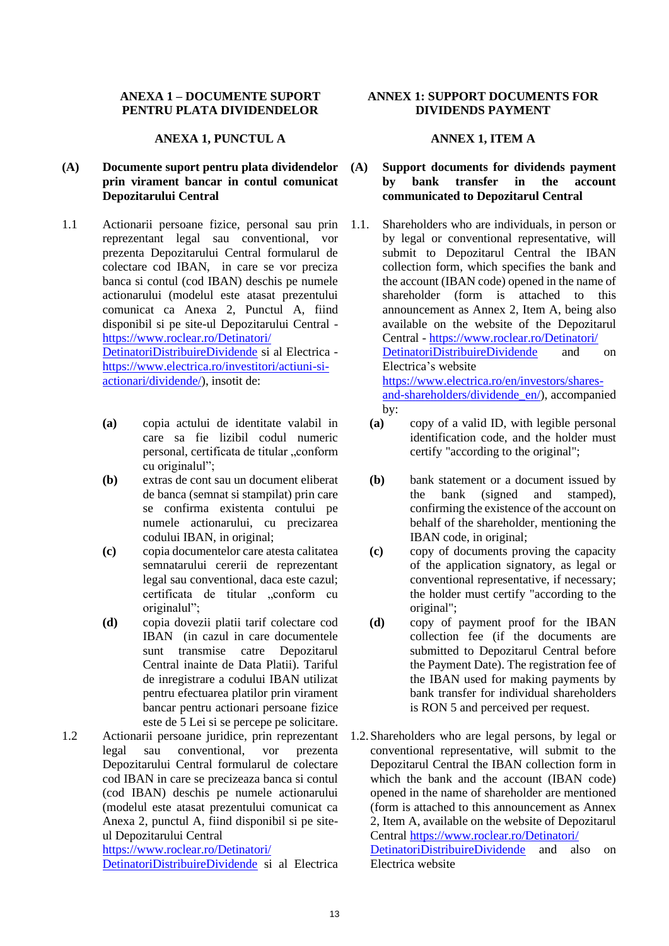## **ANEXA 1 – DOCUMENTE SUPORT PENTRU PLATA DIVIDENDELOR**

#### **ANEXA 1, PUNCTUL A**

## **(A) Documente suport pentru plata dividendelor prin virament bancar in contul comunicat Depozitarului Central**

- 1.1 Actionarii persoane fizice, personal sau prin reprezentant legal sau conventional, vor prezenta Depozitarului Central formularul de colectare cod IBAN, in care se vor preciza banca si contul (cod IBAN) deschis pe numele actionarului (modelul este atasat prezentului comunicat ca Anexa 2, Punctul A, fiind disponibil si pe site-ul Depozitarului Central [https://www.roclear.ro/Detinatori/](https://www.roclear.ro/Detinatori/DetinatoriDistribuireDividende) [DetinatoriDistribuireDividende](https://www.roclear.ro/Detinatori/DetinatoriDistribuireDividende) si al Electrica [https://www.electrica.ro/investitori/actiuni-si](https://www.electrica.ro/investitori/actiuni-si-actionari/dividende/)[actionari/dividende/\)](https://www.electrica.ro/investitori/actiuni-si-actionari/dividende/), insotit de:
	- **(a)** copia actului de identitate valabil in care sa fie lizibil codul numeric personal, certificata de titular "conform cu originalul";
	- **(b)** extras de cont sau un document eliberat de banca (semnat si stampilat) prin care se confirma existenta contului pe numele actionarului, cu precizarea codului IBAN, in original;
	- **(c)** copia documentelor care atesta calitatea semnatarului cererii de reprezentant legal sau conventional, daca este cazul; certificata de titular "conform cu originalul";
	- **(d)** copia dovezii platii tarif colectare cod IBAN (in cazul in care documentele sunt transmise catre Depozitarul Central inainte de Data Platii). Tariful de inregistrare a codului IBAN utilizat pentru efectuarea platilor prin virament bancar pentru actionari persoane fizice este de 5 Lei si se percepe pe solicitare.
- 1.2 Actionarii persoane juridice, prin reprezentant legal sau conventional, vor prezenta Depozitarului Central formularul de colectare cod IBAN in care se precizeaza banca si contul (cod IBAN) deschis pe numele actionarului (modelul este atasat prezentului comunicat ca Anexa 2, punctul A, fiind disponibil si pe siteul Depozitarului Central

[https://www.roclear.ro/Detinatori/](https://www.roclear.ro/Detinatori/DetinatoriDistribuireDividende) [DetinatoriDistribuireDividende](https://www.roclear.ro/Detinatori/DetinatoriDistribuireDividende) si al Electrica

### **ANNEX 1: SUPPORT DOCUMENTS FOR DIVIDENDS PAYMENT**

## **ANNEX 1, ITEM A**

## **(A) Support documents for dividends payment by bank transfer in the account communicated to Depozitarul Central**

- 1.1. Shareholders who are individuals, in person or by legal or conventional representative, will submit to Depozitarul Central the IBAN collection form, which specifies the bank and the account (IBAN code) opened in the name of shareholder (form is attached to this announcement as Annex 2, Item A, being also available on the website of the Depozitarul Central - [https://www.roclear.ro/Detinatori/](https://www.roclear.ro/Detinatori/DetinatoriDistribuireDividende) [DetinatoriDistribuireDividende](https://www.roclear.ro/Detinatori/DetinatoriDistribuireDividende) and on Electrica's website [https://www.electrica.ro/en/investors/shares](https://www.electrica.ro/en/investors/shares-and-shareholders/dividende_en/)[and-shareholders/dividende\\_en/\)](https://www.electrica.ro/en/investors/shares-and-shareholders/dividende_en/), accompanied by:
	- **(a)** copy of a valid ID, with legible personal identification code, and the holder must certify "according to the original";
	- **(b)** bank statement or a document issued by the bank (signed and stamped), confirming the existence of the account on behalf of the shareholder, mentioning the IBAN code, in original;
	- **(c)** copy of documents proving the capacity of the application signatory, as legal or conventional representative, if necessary; the holder must certify "according to the original";
	- **(d)** copy of payment proof for the IBAN collection fee (if the documents are submitted to Depozitarul Central before the Payment Date). The registration fee of the IBAN used for making payments by bank transfer for individual shareholders is RON 5 and perceived per request.
- 1.2.Shareholders who are legal persons, by legal or conventional representative, will submit to the Depozitarul Central the IBAN collection form in which the bank and the account (IBAN code) opened in the name of shareholder are mentioned (form is attached to this announcement as Annex 2, Item A, available on the website of Depozitarul Central [https://www.roclear.ro/Detinatori/](https://www.roclear.ro/Detinatori/DetinatoriDistribuireDividende) [DetinatoriDistribuireDividende](https://www.roclear.ro/Detinatori/DetinatoriDistribuireDividende) and also on Electrica website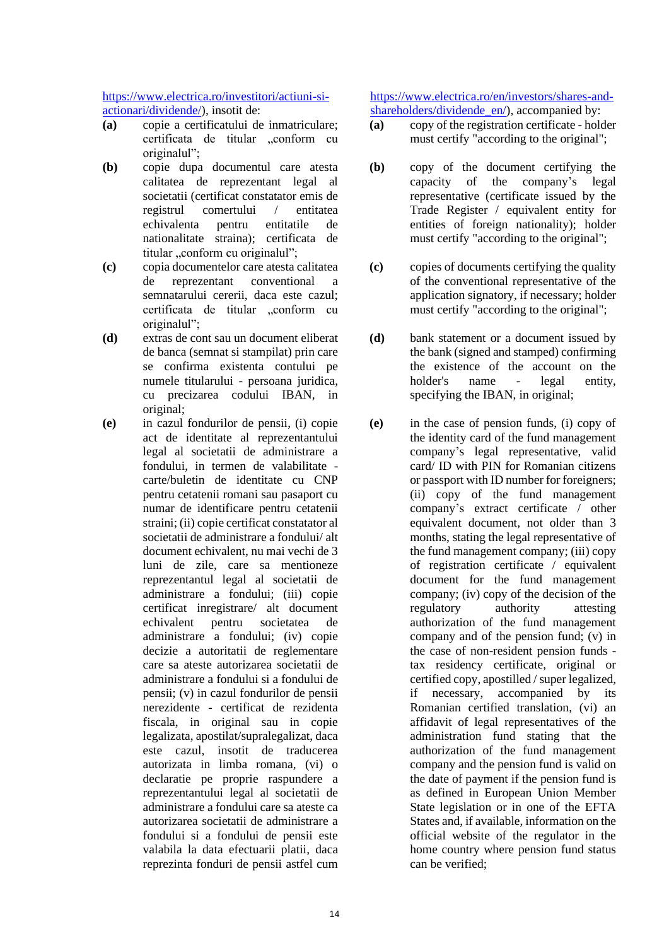[https://www.electrica.ro/investitori/actiuni-si](https://www.electrica.ro/investitori/actiuni-si-actionari/dividende/)[actionari/dividende/\)](https://www.electrica.ro/investitori/actiuni-si-actionari/dividende/), insotit de:

- **(a)** copie a certificatului de inmatriculare; certificata de titular "conform cu originalul";
- **(b)** copie dupa documentul care atesta calitatea de reprezentant legal al societatii (certificat constatator emis de registrul comertului / entitatea echivalenta pentru entitatile de nationalitate straina); certificata de titular "conform cu originalul";
- **(c)** copia documentelor care atesta calitatea de reprezentant conventional a semnatarului cererii, daca este cazul; certificata de titular ..conform cu originalul";
- **(d)** extras de cont sau un document eliberat de banca (semnat si stampilat) prin care se confirma existenta contului pe numele titularului - persoana juridica, cu precizarea codului IBAN, in original;
- **(e)** in cazul fondurilor de pensii, (i) copie act de identitate al reprezentantului legal al societatii de administrare a fondului, in termen de valabilitate carte/buletin de identitate cu CNP pentru cetatenii romani sau pasaport cu numar de identificare pentru cetatenii straini; (ii) copie certificat constatator al societatii de administrare a fondului/ alt document echivalent, nu mai vechi de 3 luni de zile, care sa mentioneze reprezentantul legal al societatii de administrare a fondului; (iii) copie certificat inregistrare/ alt document echivalent pentru societatea de administrare a fondului; (iv) copie decizie a autoritatii de reglementare care sa ateste autorizarea societatii de administrare a fondului si a fondului de pensii; (v) in cazul fondurilor de pensii nerezidente - certificat de rezidenta fiscala, in original sau in copie legalizata, apostilat/supralegalizat, daca este cazul, insotit de traducerea autorizata in limba romana, (vi) o declaratie pe proprie raspundere a reprezentantului legal al societatii de administrare a fondului care sa ateste ca autorizarea societatii de administrare a fondului si a fondului de pensii este valabila la data efectuarii platii, daca reprezinta fonduri de pensii astfel cum

[https://www.electrica.ro/en/investors/shares-and](https://www.electrica.ro/en/investors/shares-and-shareholders/dividende_en/)[shareholders/dividende\\_en/\)](https://www.electrica.ro/en/investors/shares-and-shareholders/dividende_en/), accompanied by:

- **(a)** copy of the registration certificate holder must certify "according to the original";
- **(b)** copy of the document certifying the capacity of the company's legal representative (certificate issued by the Trade Register / equivalent entity for entities of foreign nationality); holder must certify "according to the original";
- **(c)** copies of documents certifying the quality of the conventional representative of the application signatory, if necessary; holder must certify "according to the original";
- **(d)** bank statement or a document issued by the bank (signed and stamped) confirming the existence of the account on the holder's name - legal entity, specifying the IBAN, in original;
- **(e)** in the case of pension funds, (i) copy of the identity card of the fund management company's legal representative, valid card/ ID with PIN for Romanian citizens or passport with ID number for foreigners; (ii) copy of the fund management company's extract certificate / other equivalent document, not older than 3 months, stating the legal representative of the fund management company; (iii) copy of registration certificate / equivalent document for the fund management company; (iv) copy of the decision of the regulatory authority attesting authorization of the fund management company and of the pension fund; (v) in the case of non-resident pension funds tax residency certificate, original or certified copy, apostilled / super legalized, if necessary, accompanied by its Romanian certified translation, (vi) an affidavit of legal representatives of the administration fund stating that the authorization of the fund management company and the pension fund is valid on the date of payment if the pension fund is as defined in European Union Member State legislation or in one of the EFTA States and, if available, information on the official website of the regulator in the home country where pension fund status can be verified;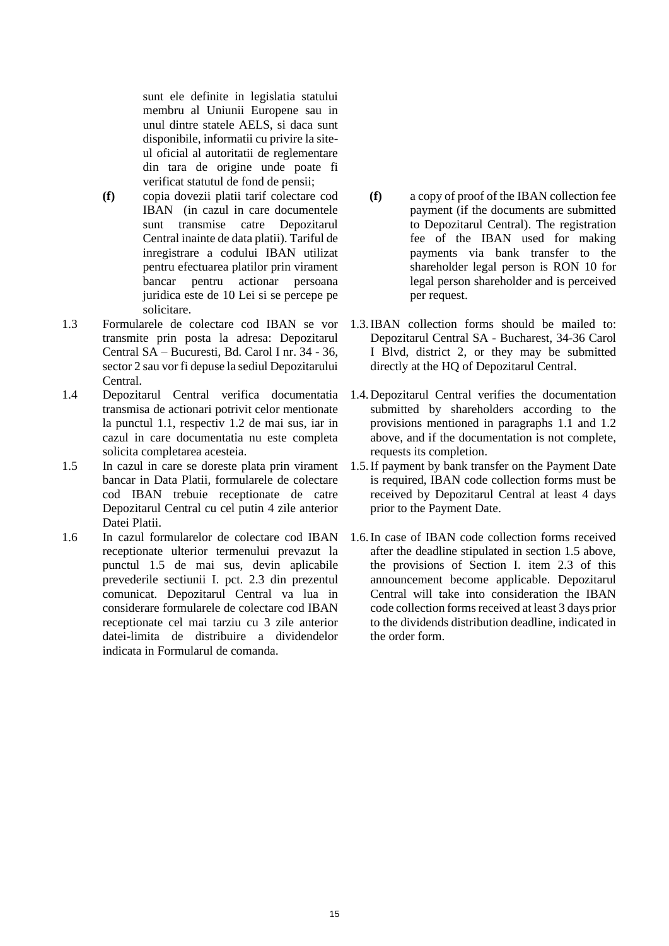sunt ele definite in legislatia statului membru al Uniunii Europene sau in unul dintre statele AELS, si daca sunt disponibile, informatii cu privire la siteul oficial al autoritatii de reglementare din tara de origine unde poate fi verificat statutul de fond de pensii;

- **(f)** copia dovezii platii tarif colectare cod IBAN (in cazul in care documentele sunt transmise catre Depozitarul Central inainte de data platii). Tariful de inregistrare a codului IBAN utilizat pentru efectuarea platilor prin virament bancar pentru actionar persoana juridica este de 10 Lei si se percepe pe solicitare.
- 1.3 Formularele de colectare cod IBAN se vor transmite prin posta la adresa: Depozitarul Central SA – Bucuresti, Bd. Carol I nr. 34 - 36, sector 2 sau vor fi depuse la sediul Depozitarului Central.
- 1.4 Depozitarul Central verifica documentatia transmisa de actionari potrivit celor mentionate la punctul 1.1, respectiv 1.2 de mai sus, iar in cazul in care documentatia nu este completa solicita completarea acesteia.
- 1.5 In cazul in care se doreste plata prin virament bancar in Data Platii, formularele de colectare cod IBAN trebuie receptionate de catre Depozitarul Central cu cel putin 4 zile anterior Datei Platii.
- 1.6 In cazul formularelor de colectare cod IBAN receptionate ulterior termenului prevazut la punctul 1.5 de mai sus, devin aplicabile prevederile sectiunii I. pct. [2.3](#page-1-1) din prezentul comunicat. Depozitarul Central va lua in considerare formularele de colectare cod IBAN receptionate cel mai tarziu cu 3 zile anterior datei-limita de distribuire a dividendelor indicata in Formularul de comanda.
- **(f)** a copy of proof of the IBAN collection fee payment (if the documents are submitted to Depozitarul Central). The registration fee of the IBAN used for making payments via bank transfer to the shareholder legal person is RON 10 for legal person shareholder and is perceived per request.
- 1.3.IBAN collection forms should be mailed to: Depozitarul Central SA - Bucharest, 34-36 Carol I Blvd, district 2, or they may be submitted directly at the HQ of Depozitarul Central.
- 1.4.Depozitarul Central verifies the documentation submitted by shareholders according to the provisions mentioned in paragraphs 1.1 and 1.2 above, and if the documentation is not complete, requests its completion.
- 1.5.If payment by bank transfer on the Payment Date is required, IBAN code collection forms must be received by Depozitarul Central at least 4 days prior to the Payment Date.
- 1.6.In case of IBAN code collection forms received after the deadline stipulated in section 1.5 above, the provisions of Section I. item 2.3 of this announcement become applicable. Depozitarul Central will take into consideration the IBAN code collection forms received at least 3 days prior to the dividends distribution deadline, indicated in the order form.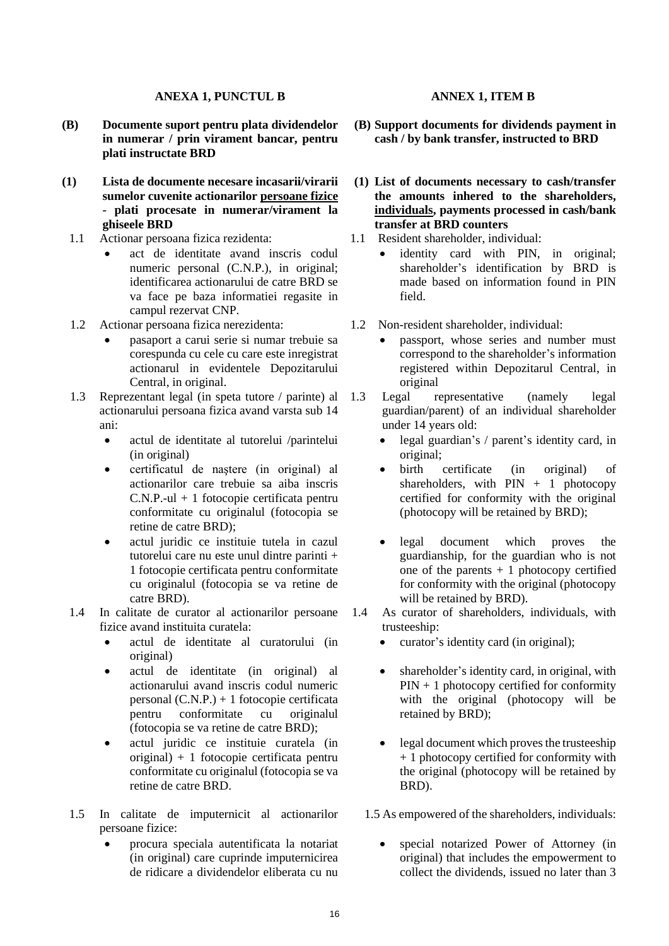### **ANEXA 1, PUNCTUL B**

- **(B) Documente suport pentru plata dividendelor in numerar / prin virament bancar, pentru plati instructate BRD**
- **(1) Lista de documente necesare incasarii/virarii sumelor cuvenite actionarilor persoane fizice - plati procesate in numerar/virament la ghiseele BRD**
- 1.1 Actionar persoana fizica rezidenta:
	- act de identitate avand inscris codul numeric personal (C.N.P.), in original; identificarea actionarului de catre BRD se va face pe baza informatiei regasite in campul rezervat CNP.
- 1.2 Actionar persoana fizica nerezidenta:
	- pasaport a carui serie si numar trebuie sa corespunda cu cele cu care este inregistrat actionarul in evidentele Depozitarului Central, in original.
- 1.3 Reprezentant legal (in speta tutore / parinte) al actionarului persoana fizica avand varsta sub 14 ani:
	- actul de identitate al tutorelui /parintelui (in original)
	- certificatul de naştere (in original) al actionarilor care trebuie sa aiba inscris C.N.P.-ul + 1 fotocopie certificata pentru conformitate cu originalul (fotocopia se retine de catre BRD);
	- actul juridic ce instituie tutela in cazul tutorelui care nu este unul dintre parinti + 1 fotocopie certificata pentru conformitate cu originalul (fotocopia se va retine de catre BRD).
- 1.4 In calitate de curator al actionarilor persoane fizice avand instituita curatela:
	- actul de identitate al curatorului (in original)
	- actul de identitate (in original) al actionarului avand inscris codul numeric personal (C.N.P.) + 1 fotocopie certificata pentru conformitate cu originalul (fotocopia se va retine de catre BRD);
	- actul juridic ce instituie curatela (in original) + 1 fotocopie certificata pentru conformitate cu originalul (fotocopia se va retine de catre BRD.
- 1.5 In calitate de imputernicit al actionarilor persoane fizice:
	- procura speciala autentificata la notariat (in original) care cuprinde imputernicirea de ridicare a dividendelor eliberata cu nu

### **ANNEX 1, ITEM B**

- **(B) Support documents for dividends payment in cash / by bank transfer, instructed to BRD**
- **(1) List of documents necessary to cash/transfer the amounts inhered to the shareholders, individuals, payments processed in cash/bank transfer at BRD counters**
- 1.1 Resident shareholder, individual:
	- identity card with PIN, in original; shareholder's identification by BRD is made based on information found in PIN field.
- 1.2Non-resident shareholder, individual:
	- passport, whose series and number must correspond to the shareholder's information registered within Depozitarul Central, in original
- 1.3 Legal representative (namely legal guardian/parent) of an individual shareholder under 14 years old:
	- legal guardian's / parent's identity card, in original;
	- birth certificate (in original) of shareholders, with  $PIN + 1$  photocopy certified for conformity with the original (photocopy will be retained by BRD);
	- legal document which proves the guardianship, for the guardian who is not one of the parents  $+1$  photocopy certified for conformity with the original (photocopy will be retained by BRD).
- 1.4 As curator of shareholders, individuals, with trusteeship:
	- curator's identity card (in original);
	- shareholder's identity card, in original, with  $PIN + 1$  photocopy certified for conformity with the original (photocopy will be retained by BRD);
	- legal document which proves the trusteeship + 1 photocopy certified for conformity with the original (photocopy will be retained by BRD).
	- 1.5 As empowered of the shareholders, individuals:
		- special notarized Power of Attorney (in original) that includes the empowerment to collect the dividends, issued no later than 3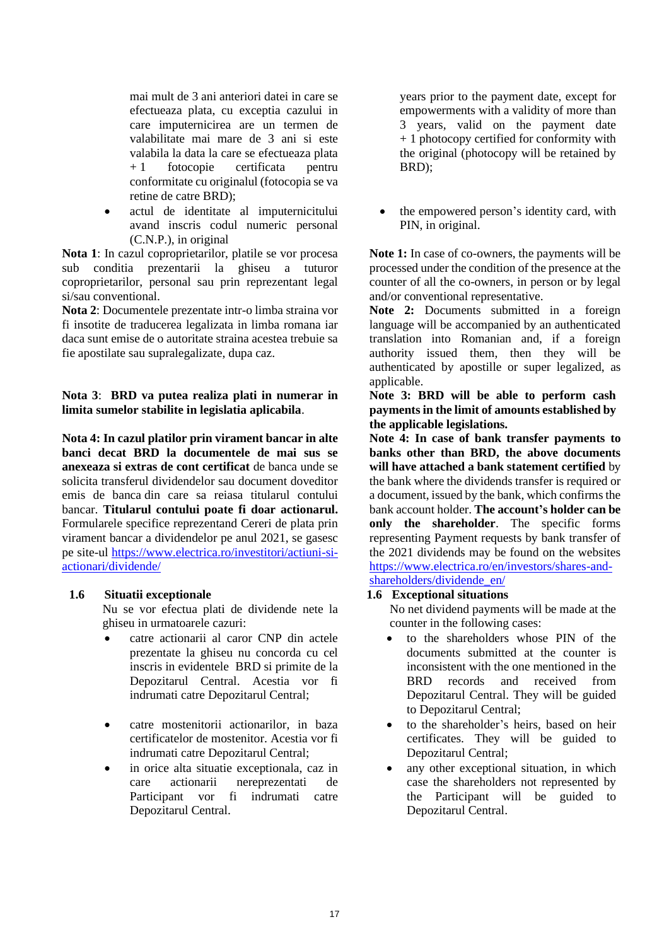mai mult de 3 ani anteriori datei in care se efectueaza plata, cu exceptia cazului in care imputernicirea are un termen de valabilitate mai mare de 3 ani si este valabila la data la care se efectueaza plata + 1 fotocopie certificata pentru conformitate cu originalul (fotocopia se va retine de catre BRD);

• actul de identitate al imputernicitului avand inscris codul numeric personal (C.N.P.), in original

**Nota 1**: In cazul coproprietarilor, platile se vor procesa sub conditia prezentarii la ghiseu a tuturor coproprietarilor, personal sau prin reprezentant legal si/sau conventional.

**Nota 2**: Documentele prezentate intr-o limba straina vor fi insotite de traducerea legalizata in limba romana iar daca sunt emise de o autoritate straina acestea trebuie sa fie apostilate sau supralegalizate, dupa caz.

**Nota 3**: **BRD va putea realiza plati in numerar in limita sumelor stabilite in legislatia aplicabila**.

**Nota 4: In cazul platilor prin virament bancar in alte banci decat BRD la documentele de mai sus se anexeaza si extras de cont certificat** de banca unde se solicita transferul dividendelor sau document doveditor emis de banca din care sa reiasa titularul contului bancar. **Titularul contului poate fi doar actionarul.**  Formularele specifice reprezentand Cereri de plata prin virament bancar a dividendelor pe anul 2021, se gasesc pe site-ul [https://www.electrica.ro/investitori/actiuni-si](https://www.electrica.ro/investitori/actiuni-si-actionari/dividende/)[actionari/dividende/](https://www.electrica.ro/investitori/actiuni-si-actionari/dividende/)

## **1.6 Situatii exceptionale**

Nu se vor efectua plati de dividende nete la ghiseu in urmatoarele cazuri:

- catre actionarii al caror CNP din actele prezentate la ghiseu nu concorda cu cel inscris in evidentele BRD si primite de la Depozitarul Central. Acestia vor fi indrumati catre Depozitarul Central;
- catre mostenitorii actionarilor, in baza certificatelor de mostenitor. Acestia vor fi indrumati catre Depozitarul Central;
- in orice alta situatie exceptionala, caz in care actionarii nereprezentati de Participant vor fi indrumati catre Depozitarul Central.

years prior to the payment date, except for empowerments with a validity of more than 3 years, valid on the payment date + 1 photocopy certified for conformity with the original (photocopy will be retained by BRD);

• the empowered person's identity card, with PIN, in original.

**Note 1:** In case of co-owners, the payments will be processed under the condition of the presence at the counter of all the co-owners, in person or by legal and/or conventional representative.

**Note 2:** Documents submitted in a foreign language will be accompanied by an authenticated translation into Romanian and, if a foreign authority issued them, then they will be authenticated by apostille or super legalized, as applicable.

**Note 3: BRD will be able to perform cash payments in the limit of amounts established by the applicable legislations.**

**Note 4: In case of bank transfer payments to banks other than BRD, the above documents will have attached a bank statement certified** by the bank where the dividends transfer is required or a document, issued by the bank, which confirms the bank account holder. **The account's holder can be only the shareholder**. The specific forms representing Payment requests by bank transfer of the 2021 dividends may be found on the websites [https://www.electrica.ro/en/investors/shares-and](https://www.electrica.ro/en/investors/shares-and-shareholders/dividende_en/)[shareholders/dividende\\_en/](https://www.electrica.ro/en/investors/shares-and-shareholders/dividende_en/)

## **1.6 Exceptional situations**

No net dividend payments will be made at the counter in the following cases:

- to the shareholders whose PIN of the documents submitted at the counter is inconsistent with the one mentioned in the BRD records and received from Depozitarul Central. They will be guided to Depozitarul Central;
- to the shareholder's heirs, based on heir certificates. They will be guided to Depozitarul Central;
- any other exceptional situation, in which case the shareholders not represented by the Participant will be guided to Depozitarul Central.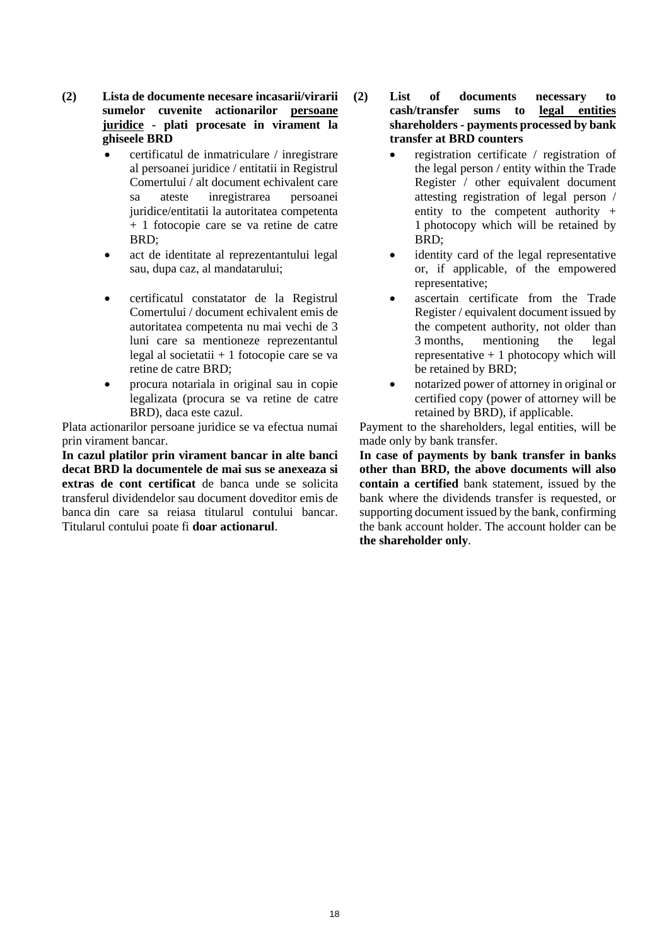- **(2) Lista de documente necesare incasarii/virarii sumelor cuvenite actionarilor persoane juridice - plati procesate in virament la ghiseele BRD**
	- certificatul de inmatriculare / inregistrare al persoanei juridice / entitatii in Registrul Comertului / alt document echivalent care sa ateste inregistrarea persoanei juridice/entitatii la autoritatea competenta + 1 fotocopie care se va retine de catre BRD;
	- act de identitate al reprezentantului legal sau, dupa caz, al mandatarului;
	- certificatul constatator de la Registrul Comertului / document echivalent emis de autoritatea competenta nu mai vechi de 3 luni care sa mentioneze reprezentantul legal al societatii + 1 fotocopie care se va retine de catre BRD;
	- procura notariala in original sau in copie legalizata (procura se va retine de catre BRD), daca este cazul.

Plata actionarilor persoane juridice se va efectua numai prin virament bancar.

**In cazul platilor prin virament bancar in alte banci decat BRD la documentele de mai sus se anexeaza si extras de cont certificat** de banca unde se solicita transferul dividendelor sau document doveditor emis de banca din care sa reiasa titularul contului bancar. Titularul contului poate fi **doar actionarul**.

- **(2) List of documents necessary to cash/transfer sums to legal entities shareholders - payments processed by bank transfer at BRD counters**
	- registration certificate / registration of the legal person / entity within the Trade Register / other equivalent document attesting registration of legal person / entity to the competent authority + 1 photocopy which will be retained by BRD;
	- identity card of the legal representative or, if applicable, of the empowered representative;
	- ascertain certificate from the Trade Register / equivalent document issued by the competent authority, not older than 3 months, mentioning the legal representative  $+1$  photocopy which will be retained by BRD;
	- notarized power of attorney in original or certified copy (power of attorney will be retained by BRD), if applicable.

Payment to the shareholders, legal entities, will be made only by bank transfer.

**In case of payments by bank transfer in banks other than BRD, the above documents will also contain a certified** bank statement, issued by the bank where the dividends transfer is requested, or supporting document issued by the bank, confirming the bank account holder. The account holder can be **the shareholder only**.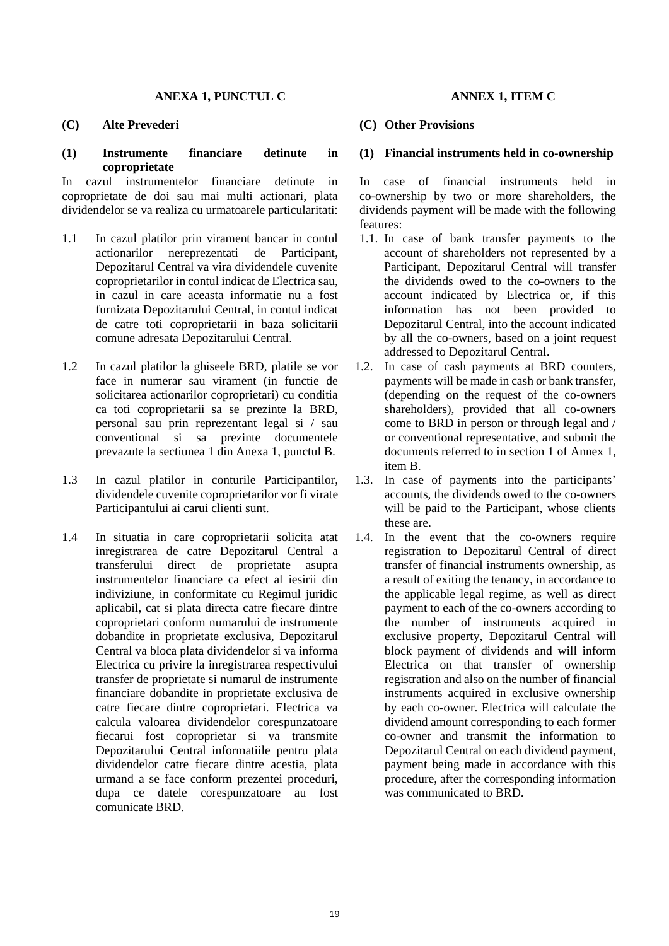#### **ANEXA 1, PUNCTUL C**

### **(C) Alte Prevederi**

#### **(1) Instrumente financiare detinute in coproprietate**

In cazul instrumentelor financiare detinute in coproprietate de doi sau mai multi actionari, plata dividendelor se va realiza cu urmatoarele particularitati:

- 1.1 In cazul platilor prin virament bancar in contul actionarilor nereprezentati de Participant, Depozitarul Central va vira dividendele cuvenite coproprietarilor in contul indicat de Electrica sau, in cazul in care aceasta informatie nu a fost furnizata Depozitarului Central, in contul indicat de catre toti coproprietarii in baza solicitarii comune adresata Depozitarului Central.
- 1.2 In cazul platilor la ghiseele BRD, platile se vor face in numerar sau virament (in functie de solicitarea actionarilor coproprietari) cu conditia ca toti coproprietarii sa se prezinte la BRD, personal sau prin reprezentant legal si / sau conventional si sa prezinte documentele prevazute la sectiunea 1 din Anexa 1, punctul B.
- 1.3 In cazul platilor in conturile Participantilor, dividendele cuvenite coproprietarilor vor fi virate Participantului ai carui clienti sunt.
- 1.4 In situatia in care coproprietarii solicita atat inregistrarea de catre Depozitarul Central a transferului direct de proprietate asupra instrumentelor financiare ca efect al iesirii din indiviziune, in conformitate cu Regimul juridic aplicabil, cat si plata directa catre fiecare dintre coproprietari conform numarului de instrumente dobandite in proprietate exclusiva, Depozitarul Central va bloca plata dividendelor si va informa Electrica cu privire la inregistrarea respectivului transfer de proprietate si numarul de instrumente financiare dobandite in proprietate exclusiva de catre fiecare dintre coproprietari. Electrica va calcula valoarea dividendelor corespunzatoare fiecarui fost coproprietar si va transmite Depozitarului Central informatiile pentru plata dividendelor catre fiecare dintre acestia, plata urmand a se face conform prezentei proceduri, dupa ce datele corespunzatoare au fost comunicate BRD.

### **ANNEX 1, ITEM C**

#### **(C) Other Provisions**

#### **(1) Financial instruments held in co-ownership**

In case of financial instruments held in co-ownership by two or more shareholders, the dividends payment will be made with the following features:

- 1.1. In case of bank transfer payments to the account of shareholders not represented by a Participant, Depozitarul Central will transfer the dividends owed to the co-owners to the account indicated by Electrica or, if this information has not been provided to Depozitarul Central, into the account indicated by all the co-owners, based on a joint request addressed to Depozitarul Central.
- 1.2. In case of cash payments at BRD counters, payments will be made in cash or bank transfer, (depending on the request of the co-owners shareholders), provided that all co-owners come to BRD in person or through legal and / or conventional representative, and submit the documents referred to in section 1 of Annex 1, item B.
- 1.3. In case of payments into the participants' accounts, the dividends owed to the co-owners will be paid to the Participant, whose clients these are.
- 1.4. In the event that the co-owners require registration to Depozitarul Central of direct transfer of financial instruments ownership, as a result of exiting the tenancy, in accordance to the applicable legal regime, as well as direct payment to each of the co-owners according to the number of instruments acquired in exclusive property, Depozitarul Central will block payment of dividends and will inform Electrica on that transfer of ownership registration and also on the number of financial instruments acquired in exclusive ownership by each co-owner. Electrica will calculate the dividend amount corresponding to each former co-owner and transmit the information to Depozitarul Central on each dividend payment, payment being made in accordance with this procedure, after the corresponding information was communicated to BRD.